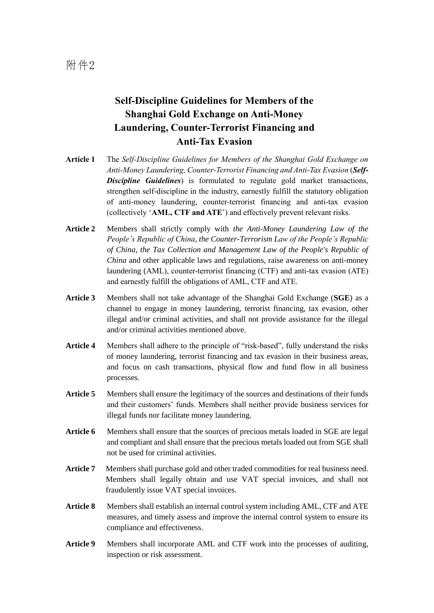## **Self-Discipline Guidelines for Members of the Shanghai Gold Exchange on Anti-Money Laundering, Counter-Terrorist Financing and Anti-Tax Evasion**

- **Article 1** The *Self-Discipline Guidelines for Members of the Shanghai Gold Exchange on Anti-Money Laundering, Counter-Terrorist Financing and Anti-Tax Evasion* (*Self-Discipline Guidelines*) is formulated to regulate gold market transactions, strengthen self-discipline in the industry, earnestly fulfill the statutory obligation of anti-money laundering, counter-terrorist financing and anti-tax evasion (collectively '**AML, CTF and ATE**') and effectively prevent relevant risks.
- **Article 2** Members shall strictly comply with *the Anti-Money Laundering Law of the People's Republic of China*, *the Counter-Terrorism Law of the People's Republic of China*, *the Tax Collection and Management Law of the People's Republic of China* and other applicable laws and regulations, raise awareness on anti-money laundering (AML), counter-terrorist financing (CTF) and anti-tax evasion (ATE) and earnestly fulfill the obligations of AML, CTF and ATE.
- **Article 3** Members shall not take advantage of the Shanghai Gold Exchange (**SGE**) as a channel to engage in money laundering, terrorist financing, tax evasion, other illegal and/or criminal activities, and shall not provide assistance for the illegal and/or criminal activities mentioned above.
- **Article 4** Members shall adhere to the principle of "risk-based", fully understand the risks of money laundering, terrorist financing and tax evasion in their business areas, and focus on cash transactions, physical flow and fund flow in all business processes.
- Article 5 Members shall ensure the legitimacy of the sources and destinations of their funds and their customers' funds. Members shall neither provide business services for illegal funds nor facilitate money laundering.
- **Article 6** Members shall ensure that the sources of precious metals loaded in SGE are legal and compliant and shall ensure that the precious metals loaded out from SGE shall not be used for criminal activities.
- Article 7 Members shall purchase gold and other traded commodities for real business need. Members shall legally obtain and use VAT special invoices, and shall not fraudulently issue VAT special invoices.
- **Article 8** Members shall establish an internal control system including AML, CTF and ATE measures, and timely assess and improve the internal control system to ensure its compliance and effectiveness.
- **Article 9** Members shall incorporate AML and CTF work into the processes of auditing, inspection or risk assessment.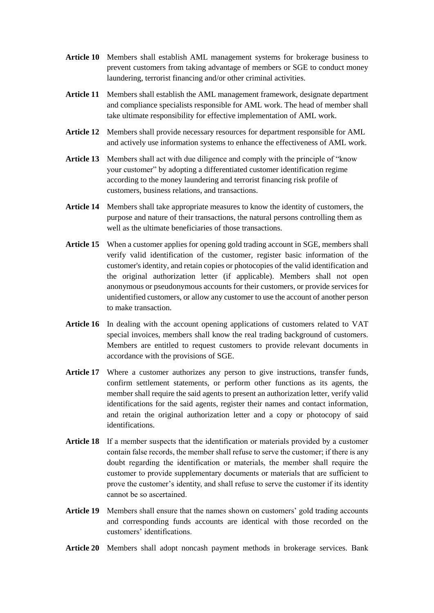- **Article 10** Members shall establish AML management systems for brokerage business to prevent customers from taking advantage of members or SGE to conduct money laundering, terrorist financing and/or other criminal activities.
- **Article 11** Members shall establish the AML management framework, designate department and compliance specialists responsible for AML work. The head of member shall take ultimate responsibility for effective implementation of AML work.
- **Article 12** Members shall provide necessary resources for department responsible for AML and actively use information systems to enhance the effectiveness of AML work.
- **Article 13** Members shall act with due diligence and comply with the principle of "know your customer" by adopting a differentiated customer identification regime according to the money laundering and terrorist financing risk profile of customers, business relations, and transactions.
- **Article 14** Members shall take appropriate measures to know the identity of customers, the purpose and nature of their transactions, the natural persons controlling them as well as the ultimate beneficiaries of those transactions.
- **Article 15** When a customer applies for opening gold trading account in SGE, members shall verify valid identification of the customer, register basic information of the customer's identity, and retain copies or photocopies of the valid identification and the original authorization letter (if applicable). Members shall not open anonymous or pseudonymous accounts for their customers, or provide services for unidentified customers, or allow any customer to use the account of another person to make transaction.
- **Article 16** In dealing with the account opening applications of customers related to VAT special invoices, members shall know the real trading background of customers. Members are entitled to request customers to provide relevant documents in accordance with the provisions of SGE.
- **Article 17** Where a customer authorizes any person to give instructions, transfer funds, confirm settlement statements, or perform other functions as its agents, the member shall require the said agents to present an authorization letter, verify valid identifications for the said agents, register their names and contact information, and retain the original authorization letter and a copy or photocopy of said identifications.
- **Article 18** If a member suspects that the identification or materials provided by a customer contain false records, the member shall refuse to serve the customer; if there is any doubt regarding the identification or materials, the member shall require the customer to provide supplementary documents or materials that are sufficient to prove the customer's identity, and shall refuse to serve the customer if its identity cannot be so ascertained.
- **Article 19** Members shall ensure that the names shown on customers' gold trading accounts and corresponding funds accounts are identical with those recorded on the customers' identifications.
- **Article 20** Members shall adopt noncash payment methods in brokerage services. Bank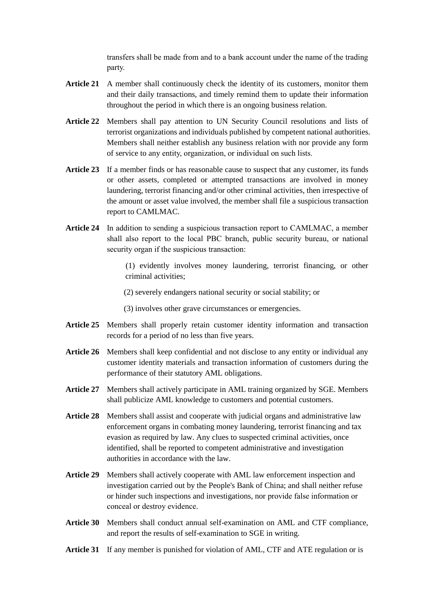transfers shall be made from and to a bank account under the name of the trading party.

- **Article 21** A member shall continuously check the identity of its customers, monitor them and their daily transactions, and timely remind them to update their information throughout the period in which there is an ongoing business relation.
- **Article 22** Members shall pay attention to UN Security Council resolutions and lists of terrorist organizations and individuals published by competent national authorities. Members shall neither establish any business relation with nor provide any form of service to any entity, organization, or individual on such lists.
- **Article 23** If a member finds or has reasonable cause to suspect that any customer, its funds or other assets, completed or attempted transactions are involved in money laundering, terrorist financing and/or other criminal activities, then irrespective of the amount or asset value involved, the member shall file a suspicious transaction report to CAMLMAC.
- **Article 24** In addition to sending a suspicious transaction report to CAMLMAC, a member shall also report to the local PBC branch, public security bureau, or national security organ if the suspicious transaction:

(1) evidently involves money laundering, terrorist financing, or other criminal activities;

(2) severely endangers national security or social stability; or

- (3) involves other grave circumstances or emergencies.
- **Article 25** Members shall properly retain customer identity information and transaction records for a period of no less than five years.
- **Article 26** Members shall keep confidential and not disclose to any entity or individual any customer identity materials and transaction information of customers during the performance of their statutory AML obligations.
- **Article 27** Members shall actively participate in AML training organized by SGE. Members shall publicize AML knowledge to customers and potential customers.
- **Article 28** Members shall assist and cooperate with judicial organs and administrative law enforcement organs in combating money laundering, terrorist financing and tax evasion as required by law. Any clues to suspected criminal activities, once identified, shall be reported to competent administrative and investigation authorities in accordance with the law.
- **Article 29** Members shall actively cooperate with AML law enforcement inspection and investigation carried out by the People's Bank of China; and shall neither refuse or hinder such inspections and investigations, nor provide false information or conceal or destroy evidence.
- **Article 30** Members shall conduct annual self-examination on AML and CTF compliance, and report the results of self-examination to SGE in writing.
- **Article 31** If any member is punished for violation of AML, CTF and ATE regulation or is